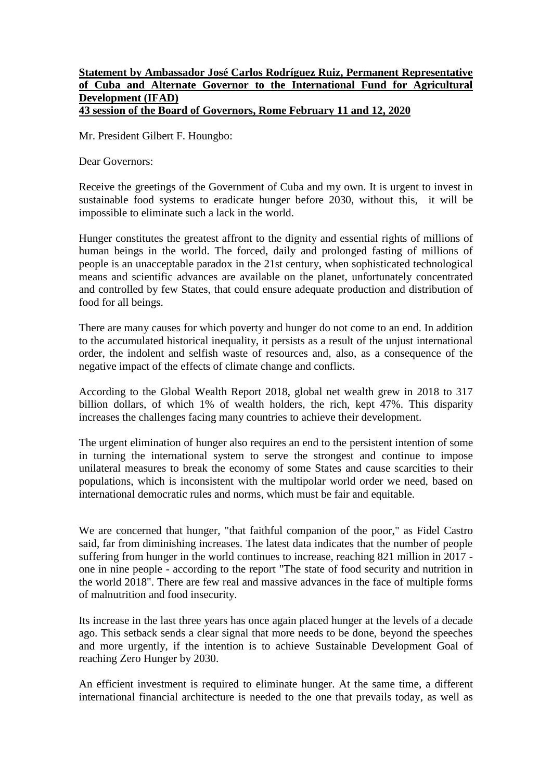## **Statement by Ambassador José Carlos Rodríguez Ruiz, Permanent Representative of Cuba and Alternate Governor to the International Fund for Agricultural Development (IFAD) 43 session of the Board of Governors, Rome February 11 and 12, 2020**

Mr. President Gilbert F. Houngbo:

Dear Governors:

Receive the greetings of the Government of Cuba and my own. It is urgent to invest in sustainable food systems to eradicate hunger before 2030, without this, it will be impossible to eliminate such a lack in the world.

Hunger constitutes the greatest affront to the dignity and essential rights of millions of human beings in the world. The forced, daily and prolonged fasting of millions of people is an unacceptable paradox in the 21st century, when sophisticated technological means and scientific advances are available on the planet, unfortunately concentrated and controlled by few States, that could ensure adequate production and distribution of food for all beings.

There are many causes for which poverty and hunger do not come to an end. In addition to the accumulated historical inequality, it persists as a result of the unjust international order, the indolent and selfish waste of resources and, also, as a consequence of the negative impact of the effects of climate change and conflicts.

According to the Global Wealth Report 2018, global net wealth grew in 2018 to 317 billion dollars, of which 1% of wealth holders, the rich, kept 47%. This disparity increases the challenges facing many countries to achieve their development.

The urgent elimination of hunger also requires an end to the persistent intention of some in turning the international system to serve the strongest and continue to impose unilateral measures to break the economy of some States and cause scarcities to their populations, which is inconsistent with the multipolar world order we need, based on international democratic rules and norms, which must be fair and equitable.

We are concerned that hunger, "that faithful companion of the poor," as Fidel Castro said, far from diminishing increases. The latest data indicates that the number of people suffering from hunger in the world continues to increase, reaching 821 million in 2017 one in nine people - according to the report "The state of food security and nutrition in the world 2018". There are few real and massive advances in the face of multiple forms of malnutrition and food insecurity.

Its increase in the last three years has once again placed hunger at the levels of a decade ago. This setback sends a clear signal that more needs to be done, beyond the speeches and more urgently, if the intention is to achieve Sustainable Development Goal of reaching Zero Hunger by 2030.

An efficient investment is required to eliminate hunger. At the same time, a different international financial architecture is needed to the one that prevails today, as well as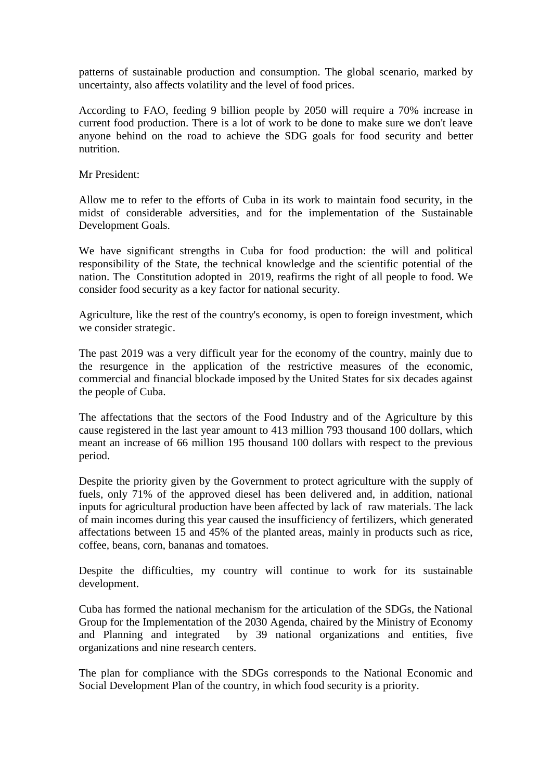patterns of sustainable production and consumption. The global scenario, marked by uncertainty, also affects volatility and the level of food prices.

According to FAO, feeding 9 billion people by 2050 will require a 70% increase in current food production. There is a lot of work to be done to make sure we don't leave anyone behind on the road to achieve the SDG goals for food security and better nutrition.

Mr President:

Allow me to refer to the efforts of Cuba in its work to maintain food security, in the midst of considerable adversities, and for the implementation of the Sustainable Development Goals.

We have significant strengths in Cuba for food production: the will and political responsibility of the State, the technical knowledge and the scientific potential of the nation. The Constitution adopted in 2019, reafirms the right of all people to food. We consider food security as a key factor for national security.

Agriculture, like the rest of the country's economy, is open to foreign investment, which we consider strategic.

The past 2019 was a very difficult year for the economy of the country, mainly due to the resurgence in the application of the restrictive measures of the economic, commercial and financial blockade imposed by the United States for six decades against the people of Cuba.

The affectations that the sectors of the Food Industry and of the Agriculture by this cause registered in the last year amount to 413 million 793 thousand 100 dollars, which meant an increase of 66 million 195 thousand 100 dollars with respect to the previous period.

Despite the priority given by the Government to protect agriculture with the supply of fuels, only 71% of the approved diesel has been delivered and, in addition, national inputs for agricultural production have been affected by lack of raw materials. The lack of main incomes during this year caused the insufficiency of fertilizers, which generated affectations between 15 and 45% of the planted areas, mainly in products such as rice, coffee, beans, corn, bananas and tomatoes.

Despite the difficulties, my country will continue to work for its sustainable development.

Cuba has formed the national mechanism for the articulation of the SDGs, the National Group for the Implementation of the 2030 Agenda, chaired by the Ministry of Economy and Planning and integrated by 39 national organizations and entities, five organizations and nine research centers.

The plan for compliance with the SDGs corresponds to the National Economic and Social Development Plan of the country, in which food security is a priority.